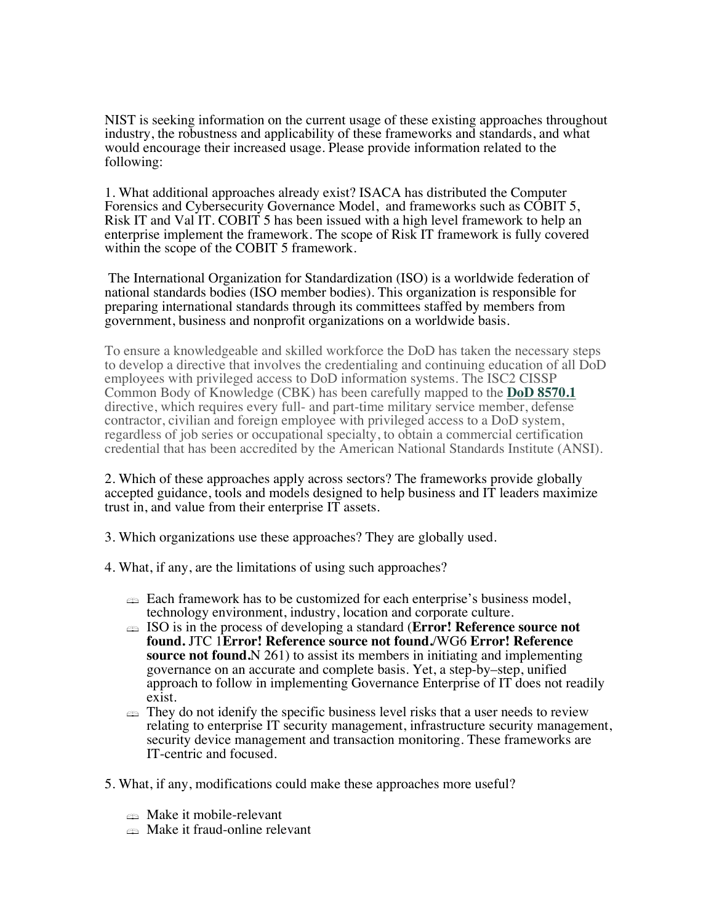NIST is seeking information on the current usage of these existing approaches throughout industry, the robustness and applicability of these frameworks and standards, and what would encourage their increased usage. Please provide information related to the following:

1. What additional approaches already exist? ISACA has distributed the Computer Forensics and Cybersecurity Governance Model, and frameworks such as COBIT 5, Risk IT and Val IT. COBIT 5 has been issued with a high level framework to help an enterprise implement the framework. The scope of Risk IT framework is fully covered within the scope of the COBIT 5 framework.

 preparing international standards through its committees staffed by members from The International Organization for Standardization (ISO) is a worldwide federation of national standards bodies (ISO member bodies). This organization is responsible for government, business and nonprofit organizations on a worldwide basis.

 employees with privileged access to DoD information systems. The ISC2 CISSP To ensure a knowledgeable and skilled workforce the DoD has taken the necessary steps to develop a directive that involves the credentialing and continuing education of all DoD Common Body of Knowledge (CBK) has been carefully mapped to the **DoD 8570.1**  directive, which requires every full- and part-time military service member, defense contractor, civilian and foreign employee with privileged access to a DoD system, regardless of job series or occupational specialty, to obtain a commercial certification credential that has been accredited by the American National Standards Institute (ANSI).

2. Which of these approaches apply across sectors? The frameworks provide globally accepted guidance, tools and models designed to help business and IT leaders maximize trust in, and value from their enterprise IT assets.

- 3. Which organizations use these approaches? They are globally used.
- 4. What, if any, are the limitations of using such approaches?
	- $\Rightarrow$  Each framework has to be customized for each enterprise's business model, technology environment, industry, location and corporate culture.
	- ISO is in the process of developing a standard (**Error! Reference source not found.** JTC 1**Error! Reference source not found.**/WG6 **Error! Reference source not found.**N 261) to assist its members in initiating and implementing governance on an accurate and complete basis. Yet, a step-by–step, unified approach to follow in implementing Governance Enterprise of IT does not readily exist.
	- relating to enterprise IT security management, infrastructure security management,  $\Rightarrow$  They do not idenify the specific business level risks that a user needs to review security device management and transaction monitoring. These frameworks are IT-centric and focused.
- 5. What, if any, modifications could make these approaches more useful?
	- **Example 11 Make it mobile-relevant**
	- **Example 12** Make it fraud-online relevant